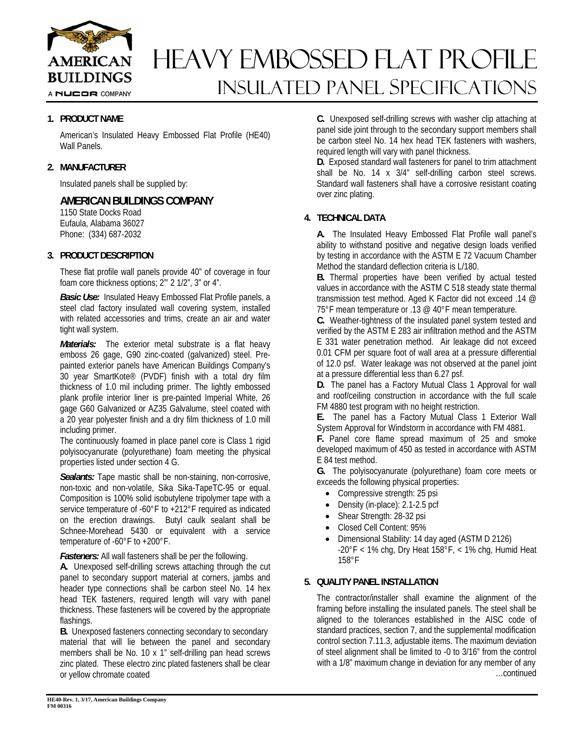

## HEAVY EMBOSSED FLAT PROFILE INSULATED Panel Specifications

#### **1. PRODUCT NAME**

American's Insulated Heavy Embossed Flat Profile (HE40) Wall Panels.

#### **2. MANUFACTURER**

Insulated panels shall be supplied by:

#### **AMERICAN BUILDINGS COMPANY**

1150 State Docks Road Eufaula, Alabama 36027 Phone: (334) 687-2032

#### **3. PRODUCT DESCRIPTION**

These flat profile wall panels provide 40" of coverage in four foam core thickness options; 2"' 2 1/2", 3" or 4".

*Basic Use:* Insulated Heavy Embossed Flat Profile panels, a steel clad factory insulated wall covering system, installed with related accessories and trims, create an air and water tight wall system.

*Materials:* The exterior metal substrate is a flat heavy emboss 26 gage, G90 zinc-coated (galvanized) steel. Prepainted exterior panels have American Buildings Company's 30 year SmartKote® (PVDF) finish with a total dry film thickness of 1.0 mil including primer. The lightly embossed plank profile interior liner is pre-painted Imperial White, 26 gage G60 Galvanized or AZ35 Galvalume, steel coated with a 20 year polyester finish and a dry film thickness of 1.0 mill including primer.

The continuously foamed in place panel core is Class 1 rigid polyisocyanurate (polyurethane) foam meeting the physical properties listed under section 4 G.

*Sealants:* Tape mastic shall be non-staining, non-corrosive, non-toxic and non-volatile, Sika Sika-TapeTC-95 or equal. Composition is 100% solid isobutylene tripolymer tape with a service temperature of -60°F to +212°F required as indicated on the erection drawings. Butyl caulk sealant shall be Schnee-Morehead 5430 or equivalent with a service temperature of -60°F to +200°F.

*Fasteners:* All wall fasteners shall be per the following.

**A.** Unexposed self-drilling screws attaching through the cut panel to secondary support material at corners, jambs and header type connections shall be carbon steel No. 14 hex head TEK fasteners, required length will vary with panel thickness. These fasteners will be covered by the appropriate flashings.

**B.** Unexposed fasteners connecting secondary to secondary material that will lie between the panel and secondary members shall be No. 10 x 1" self-drilling pan head screws zinc plated. These electro zinc plated fasteners shall be clear or yellow chromate coated

**C.** Unexposed self-drilling screws with washer clip attaching at panel side joint through to the secondary support members shall be carbon steel No. 14 hex head TEK fasteners with washers, required length will vary with panel thickness.

**D.** Exposed standard wall fasteners for panel to trim attachment shall be No. 14 x 3/4" self-drilling carbon steel screws. Standard wall fasteners shall have a corrosive resistant coating over zinc plating.

#### **4. TECHNICAL DATA**

**A.** The Insulated Heavy Embossed Flat Profile wall panel's ability to withstand positive and negative design loads verified by testing in accordance with the ASTM E 72 Vacuum Chamber Method the standard deflection criteria is L/180.

**B.** Thermal properties have been verified by actual tested values in accordance with the ASTM C 518 steady state thermal transmission test method. Aged K Factor did not exceed .14 @ 75°F mean temperature or .13 @ 40°F mean temperature.

**C.** Weather-tightness of the insulated panel system tested and verified by the ASTM E 283 air infiltration method and the ASTM E 331 water penetration method. Air leakage did not exceed 0.01 CFM per square foot of wall area at a pressure differential of 12.0 psf. Water leakage was not observed at the panel joint at a pressure differential less than 6.27 psf.

**D.** The panel has a Factory Mutual Class 1 Approval for wall and roof/ceiling construction in accordance with the full scale FM 4880 test program with no height restriction.

**E.** The panel has a Factory Mutual Class 1 Exterior Wall System Approval for Windstorm in accordance with FM 4881.

**F.** Panel core flame spread maximum of 25 and smoke developed maximum of 450 as tested in accordance with ASTM E 84 test method.

**G.** The polyisocyanurate (polyurethane) foam core meets or exceeds the following physical properties:

- Compressive strength: 25 psi
- Density (in-place): 2.1-2.5 pcf
- Shear Strength: 28-32 psi
- Closed Cell Content: 95%
- Dimensional Stability: 14 day aged (ASTM D 2126)  $-20^{\circ}$ F < 1% chg, Dry Heat 158°F, < 1% chg, Humid Heat 158°F

#### **5. QUALITY PANEL INSTALLATION**

The contractor/installer shall examine the alignment of the framing before installing the insulated panels. The steel shall be aligned to the tolerances established in the AISC code of standard practices, section 7, and the supplemental modification control section 7.11.3, adjustable items. The maximum deviation of steel alignment shall be limited to -0 to 3/16" from the control with a 1/8" maximum change in deviation for any member of any …continued